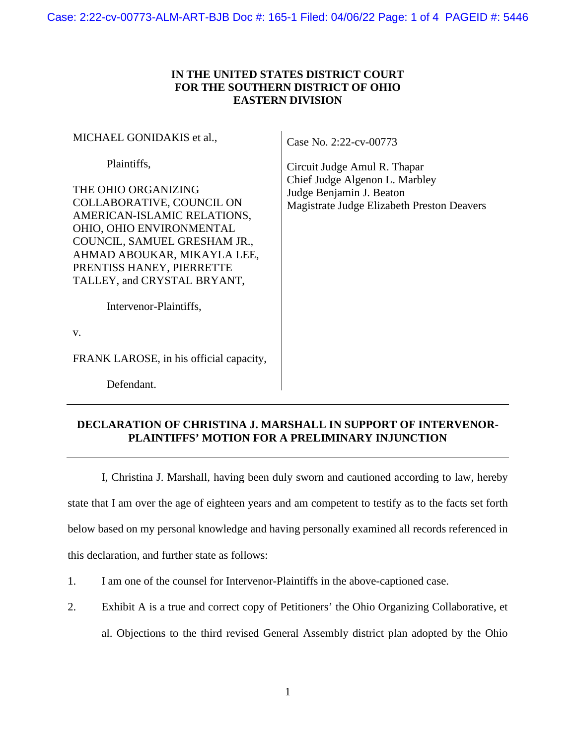## **IN THE UNITED STATES DISTRICT COURT FOR THE SOUTHERN DISTRICT OF OHIO EASTERN DIVISION**

MICHAEL GONIDAKIS et al.,

Plaintiffs,

THE OHIO ORGANIZING COLLABORATIVE, COUNCIL ON AMERICAN-ISLAMIC RELATIONS, OHIO, OHIO ENVIRONMENTAL COUNCIL, SAMUEL GRESHAM JR., AHMAD ABOUKAR, MIKAYLA LEE, PRENTISS HANEY, PIERRETTE TALLEY, and CRYSTAL BRYANT,

Case No. 2:22-cv-00773

Circuit Judge Amul R. Thapar Chief Judge Algenon L. Marbley Judge Benjamin J. Beaton Magistrate Judge Elizabeth Preston Deavers

Intervenor-Plaintiffs,

v.

FRANK LAROSE, in his official capacity,

Defendant.

## **DECLARATION OF CHRISTINA J. MARSHALL IN SUPPORT OF INTERVENOR-PLAINTIFFS' MOTION FOR A PRELIMINARY INJUNCTION**

I, Christina J. Marshall, having been duly sworn and cautioned according to law, hereby state that I am over the age of eighteen years and am competent to testify as to the facts set forth below based on my personal knowledge and having personally examined all records referenced in this declaration, and further state as follows:

- 1. I am one of the counsel for Intervenor-Plaintiffs in the above-captioned case.
- 2. Exhibit A is a true and correct copy of Petitioners' the Ohio Organizing Collaborative, et
	- al. Objections to the third revised General Assembly district plan adopted by the Ohio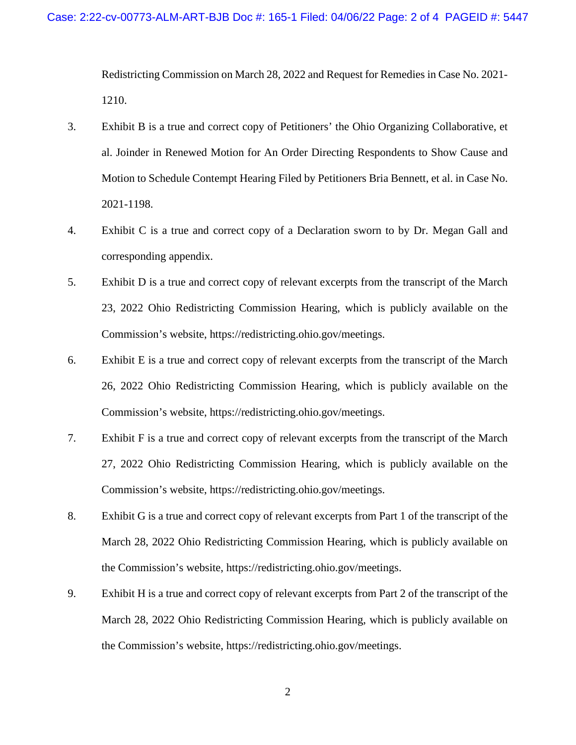Redistricting Commission on March 28, 2022 and Request for Remedies in Case No. 2021- 1210.

- 3. Exhibit B is a true and correct copy of Petitioners' the Ohio Organizing Collaborative, et al. Joinder in Renewed Motion for An Order Directing Respondents to Show Cause and Motion to Schedule Contempt Hearing Filed by Petitioners Bria Bennett, et al. in Case No. 2021-1198.
- 4. Exhibit C is a true and correct copy of a Declaration sworn to by Dr. Megan Gall and corresponding appendix.
- 5. Exhibit D is a true and correct copy of relevant excerpts from the transcript of the March 23, 2022 Ohio Redistricting Commission Hearing, which is publicly available on the Commission's website, https://redistricting.ohio.gov/meetings.
- 6. Exhibit E is a true and correct copy of relevant excerpts from the transcript of the March 26, 2022 Ohio Redistricting Commission Hearing, which is publicly available on the Commission's website, https://redistricting.ohio.gov/meetings.
- 7. Exhibit F is a true and correct copy of relevant excerpts from the transcript of the March 27, 2022 Ohio Redistricting Commission Hearing, which is publicly available on the Commission's website, https://redistricting.ohio.gov/meetings.
- 8. Exhibit G is a true and correct copy of relevant excerpts from Part 1 of the transcript of the March 28, 2022 Ohio Redistricting Commission Hearing, which is publicly available on the Commission's website, https://redistricting.ohio.gov/meetings.
- 9. Exhibit H is a true and correct copy of relevant excerpts from Part 2 of the transcript of the March 28, 2022 Ohio Redistricting Commission Hearing, which is publicly available on the Commission's website, https://redistricting.ohio.gov/meetings.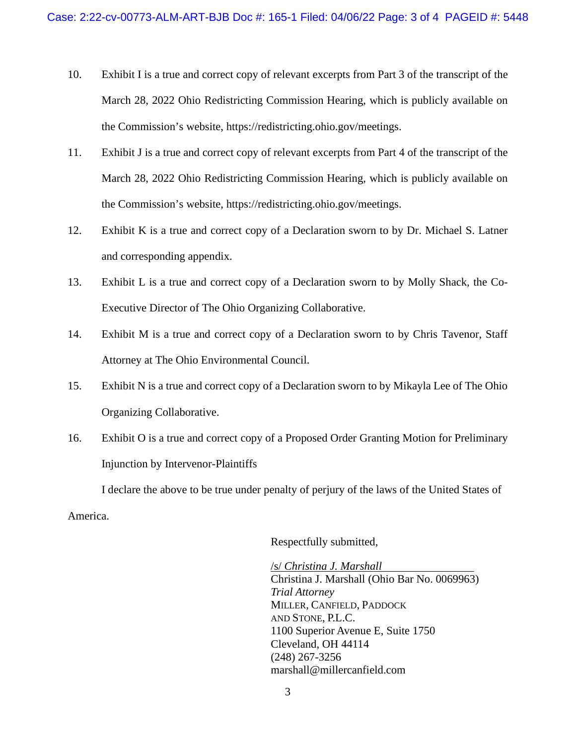- 10. Exhibit I is a true and correct copy of relevant excerpts from Part 3 of the transcript of the March 28, 2022 Ohio Redistricting Commission Hearing, which is publicly available on the Commission's website, https://redistricting.ohio.gov/meetings.
- 11. Exhibit J is a true and correct copy of relevant excerpts from Part 4 of the transcript of the March 28, 2022 Ohio Redistricting Commission Hearing, which is publicly available on the Commission's website, https://redistricting.ohio.gov/meetings.
- 12. Exhibit K is a true and correct copy of a Declaration sworn to by Dr. Michael S. Latner and corresponding appendix.
- 13. Exhibit L is a true and correct copy of a Declaration sworn to by Molly Shack, the Co-Executive Director of The Ohio Organizing Collaborative.
- 14. Exhibit M is a true and correct copy of a Declaration sworn to by Chris Tavenor, Staff Attorney at The Ohio Environmental Council.
- 15. Exhibit N is a true and correct copy of a Declaration sworn to by Mikayla Lee of The Ohio Organizing Collaborative.
- 16. Exhibit O is a true and correct copy of a Proposed Order Granting Motion for Preliminary Injunction by Intervenor-Plaintiffs

I declare the above to be true under penalty of perjury of the laws of the United States of

America.

Respectfully submitted,

/s/ *Christina J. Marshall* Christina J. Marshall (Ohio Bar No. 0069963) *Trial Attorney*  MILLER, CANFIELD, PADDOCK AND STONE, P.L.C. 1100 Superior Avenue E, Suite 1750 Cleveland, OH 44114 (248) 267-3256 marshall@millercanfield.com